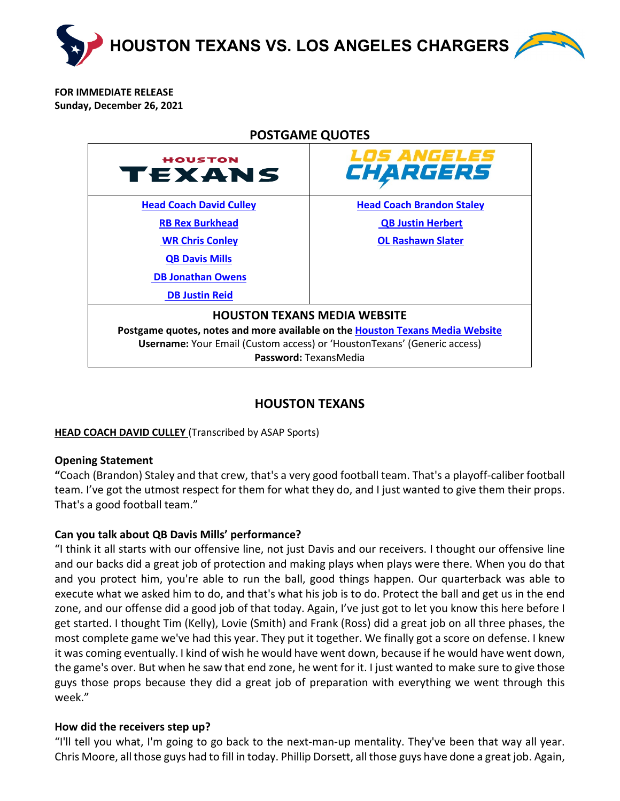

**FOR IMMEDIATE RELEASE Sunday, December 26, 2021**

<span id="page-0-1"></span>

# **HOUSTON TEXANS**

## <span id="page-0-0"></span>**HEAD COACH DAVID CULLEY** (Transcribed by ASAP Sports)

## **Opening Statement**

**"**Coach (Brandon) Staley and that crew, that's a very good football team. That's a playoff-caliber football team. I've got the utmost respect for them for what they do, and I just wanted to give them their props. That's a good football team."

## **Can you talk about QB Davis Mills' performance?**

"I think it all starts with our offensive line, not just Davis and our receivers. I thought our offensive line and our backs did a great job of protection and making plays when plays were there. When you do that and you protect him, you're able to run the ball, good things happen. Our quarterback was able to execute what we asked him to do, and that's what his job is to do. Protect the ball and get us in the end zone, and our offense did a good job of that today. Again, I've just got to let you know this here before I get started. I thought Tim (Kelly), Lovie (Smith) and Frank (Ross) did a great job on all three phases, the most complete game we've had this year. They put it together. We finally got a score on defense. I knew it was coming eventually. I kind of wish he would have went down, because if he would have went down, the game's over. But when he saw that end zone, he went for it. I just wanted to make sure to give those guys those props because they did a great job of preparation with everything we went through this week."

## **How did the receivers step up?**

"I'll tell you what, I'm going to go back to the next-man-up mentality. They've been that way all year. Chris Moore, all those guys had to fill in today. Phillip Dorsett, all those guys have done a great job. Again,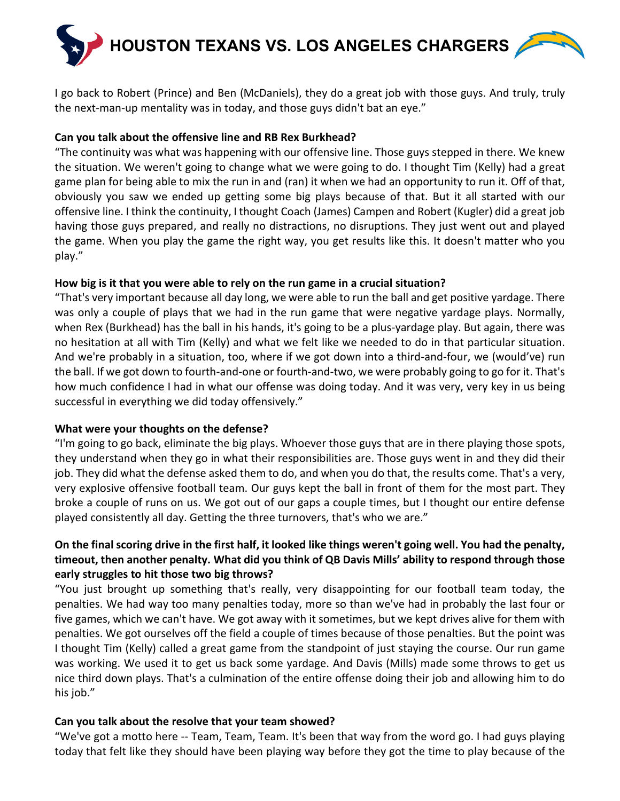

I go back to Robert (Prince) and Ben (McDaniels), they do a great job with those guys. And truly, truly the next-man-up mentality was in today, and those guys didn't bat an eye."

## **Can you talk about the offensive line and RB Rex Burkhead?**

"The continuity was what was happening with our offensive line. Those guys stepped in there. We knew the situation. We weren't going to change what we were going to do. I thought Tim (Kelly) had a great game plan for being able to mix the run in and (ran) it when we had an opportunity to run it. Off of that, obviously you saw we ended up getting some big plays because of that. But it all started with our offensive line. I think the continuity, I thought Coach (James) Campen and Robert (Kugler) did a great job having those guys prepared, and really no distractions, no disruptions. They just went out and played the game. When you play the game the right way, you get results like this. It doesn't matter who you play."

## **How big is it that you were able to rely on the run game in a crucial situation?**

"That's very important because all day long, we were able to run the ball and get positive yardage. There was only a couple of plays that we had in the run game that were negative yardage plays. Normally, when Rex (Burkhead) has the ball in his hands, it's going to be a plus-yardage play. But again, there was no hesitation at all with Tim (Kelly) and what we felt like we needed to do in that particular situation. And we're probably in a situation, too, where if we got down into a third-and-four, we (would've) run the ball. If we got down to fourth-and-one or fourth-and-two, we were probably going to go for it. That's how much confidence I had in what our offense was doing today. And it was very, very key in us being successful in everything we did today offensively."

## **What were your thoughts on the defense?**

"I'm going to go back, eliminate the big plays. Whoever those guys that are in there playing those spots, they understand when they go in what their responsibilities are. Those guys went in and they did their job. They did what the defense asked them to do, and when you do that, the results come. That's a very, very explosive offensive football team. Our guys kept the ball in front of them for the most part. They broke a couple of runs on us. We got out of our gaps a couple times, but I thought our entire defense played consistently all day. Getting the three turnovers, that's who we are."

## **On the final scoring drive in the first half, it looked like things weren't going well. You had the penalty, timeout, then another penalty. What did you think of QB Davis Mills' ability to respond through those early struggles to hit those two big throws?**

"You just brought up something that's really, very disappointing for our football team today, the penalties. We had way too many penalties today, more so than we've had in probably the last four or five games, which we can't have. We got away with it sometimes, but we kept drives alive for them with penalties. We got ourselves off the field a couple of times because of those penalties. But the point was I thought Tim (Kelly) called a great game from the standpoint of just staying the course. Our run game was working. We used it to get us back some yardage. And Davis (Mills) made some throws to get us nice third down plays. That's a culmination of the entire offense doing their job and allowing him to do his job."

## **Can you talk about the resolve that your team showed?**

"We've got a motto here -- Team, Team, Team. It's been that way from the word go. I had guys playing today that felt like they should have been playing way before they got the time to play because of the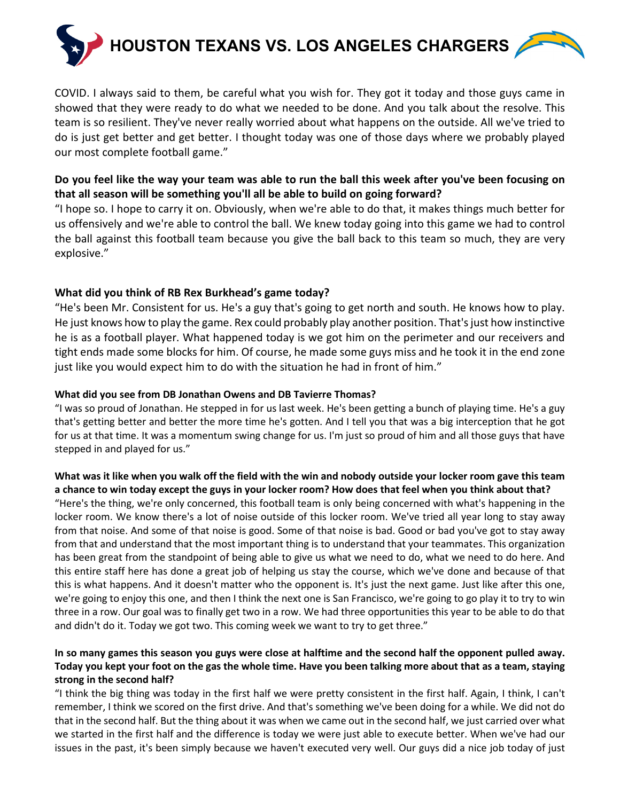

COVID. I always said to them, be careful what you wish for. They got it today and those guys came in showed that they were ready to do what we needed to be done. And you talk about the resolve. This team is so resilient. They've never really worried about what happens on the outside. All we've tried to do is just get better and get better. I thought today was one of those days where we probably played our most complete football game."

## **Do you feel like the way your team was able to run the ball this week after you've been focusing on that all season will be something you'll all be able to build on going forward?**

"I hope so. I hope to carry it on. Obviously, when we're able to do that, it makes things much better for us offensively and we're able to control the ball. We knew today going into this game we had to control the ball against this football team because you give the ball back to this team so much, they are very explosive."

## **What did you think of RB Rex Burkhead's game today?**

"He's been Mr. Consistent for us. He's a guy that's going to get north and south. He knows how to play. He just knows how to play the game. Rex could probably play another position. That's just how instinctive he is as a football player. What happened today is we got him on the perimeter and our receivers and tight ends made some blocks for him. Of course, he made some guys miss and he took it in the end zone just like you would expect him to do with the situation he had in front of him."

## **What did you see from DB Jonathan Owens and DB Tavierre Thomas?**

"I was so proud of Jonathan. He stepped in for us last week. He's been getting a bunch of playing time. He's a guy that's getting better and better the more time he's gotten. And I tell you that was a big interception that he got for us at that time. It was a momentum swing change for us. I'm just so proud of him and all those guys that have stepped in and played for us."

### **What was it like when you walk off the field with the win and nobody outside your locker room gave this team a chance to win today except the guys in your locker room? How does that feel when you think about that?**

"Here's the thing, we're only concerned, this football team is only being concerned with what's happening in the locker room. We know there's a lot of noise outside of this locker room. We've tried all year long to stay away from that noise. And some of that noise is good. Some of that noise is bad. Good or bad you've got to stay away from that and understand that the most important thing is to understand that your teammates. This organization has been great from the standpoint of being able to give us what we need to do, what we need to do here. And this entire staff here has done a great job of helping us stay the course, which we've done and because of that this is what happens. And it doesn't matter who the opponent is. It's just the next game. Just like after this one, we're going to enjoy this one, and then I think the next one is San Francisco, we're going to go play it to try to win three in a row. Our goal was to finally get two in a row. We had three opportunities this year to be able to do that and didn't do it. Today we got two. This coming week we want to try to get three."

## **In so many games this season you guys were close at halftime and the second half the opponent pulled away. Today you kept your foot on the gas the whole time. Have you been talking more about that as a team, staying strong in the second half?**

"I think the big thing was today in the first half we were pretty consistent in the first half. Again, I think, I can't remember, I think we scored on the first drive. And that's something we've been doing for a while. We did not do that in the second half. But the thing about it was when we came out in the second half, we just carried over what we started in the first half and the difference is today we were just able to execute better. When we've had our issues in the past, it's been simply because we haven't executed very well. Our guys did a nice job today of just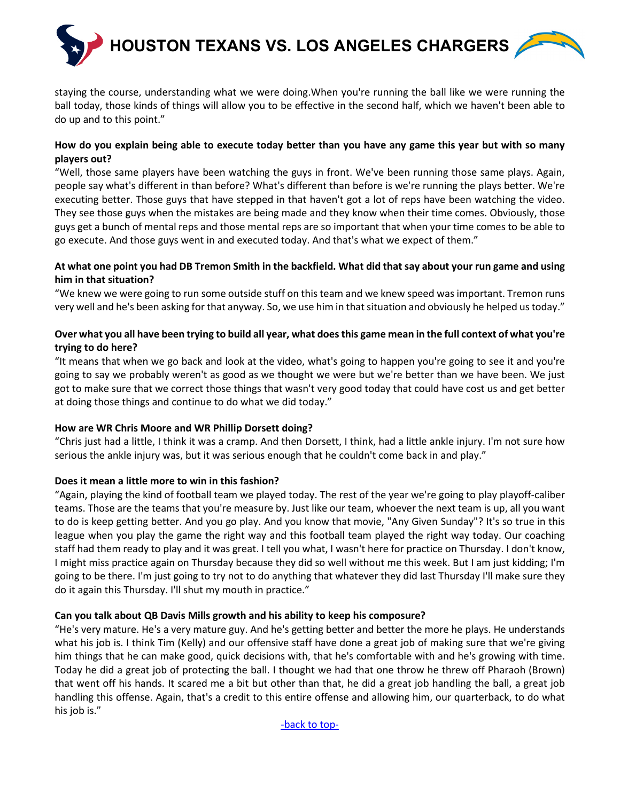

staying the course, understanding what we were doing.When you're running the ball like we were running the ball today, those kinds of things will allow you to be effective in the second half, which we haven't been able to do up and to this point."

### **How do you explain being able to execute today better than you have any game this year but with so many players out?**

"Well, those same players have been watching the guys in front. We've been running those same plays. Again, people say what's different in than before? What's different than before is we're running the plays better. We're executing better. Those guys that have stepped in that haven't got a lot of reps have been watching the video. They see those guys when the mistakes are being made and they know when their time comes. Obviously, those guys get a bunch of mental reps and those mental reps are so important that when your time comes to be able to go execute. And those guys went in and executed today. And that's what we expect of them."

### **At what one point you had DB Tremon Smith in the backfield. What did that say about your run game and using him in that situation?**

"We knew we were going to run some outside stuff on this team and we knew speed was important. Tremon runs very well and he's been asking for that anyway. So, we use him in that situation and obviously he helped us today."

## **Over what you all have been trying to build all year, what does this game mean in the full context of what you're trying to do here?**

"It means that when we go back and look at the video, what's going to happen you're going to see it and you're going to say we probably weren't as good as we thought we were but we're better than we have been. We just got to make sure that we correct those things that wasn't very good today that could have cost us and get better at doing those things and continue to do what we did today."

### **How are WR Chris Moore and WR Phillip Dorsett doing?**

"Chris just had a little, I think it was a cramp. And then Dorsett, I think, had a little ankle injury. I'm not sure how serious the ankle injury was, but it was serious enough that he couldn't come back in and play."

## **Does it mean a little more to win in this fashion?**

"Again, playing the kind of football team we played today. The rest of the year we're going to play playoff-caliber teams. Those are the teams that you're measure by. Just like our team, whoever the next team is up, all you want to do is keep getting better. And you go play. And you know that movie, "Any Given Sunday"? It's so true in this league when you play the game the right way and this football team played the right way today. Our coaching staff had them ready to play and it was great. I tell you what, I wasn't here for practice on Thursday. I don't know, I might miss practice again on Thursday because they did so well without me this week. But I am just kidding; I'm going to be there. I'm just going to try not to do anything that whatever they did last Thursday I'll make sure they do it again this Thursday. I'll shut my mouth in practice."

### **Can you talk about QB Davis Mills growth and his ability to keep his composure?**

"He's very mature. He's a very mature guy. And he's getting better and better the more he plays. He understands what his job is. I think Tim (Kelly) and our offensive staff have done a great job of making sure that we're giving him things that he can make good, quick decisions with, that he's comfortable with and he's growing with time. Today he did a great job of protecting the ball. I thought we had that one throw he threw off Pharaoh (Brown) that went off his hands. It scared me a bit but other than that, he did a great job handling the ball, a great job handling this offense. Again, that's a credit to this entire offense and allowing him, our quarterback, to do what his job is."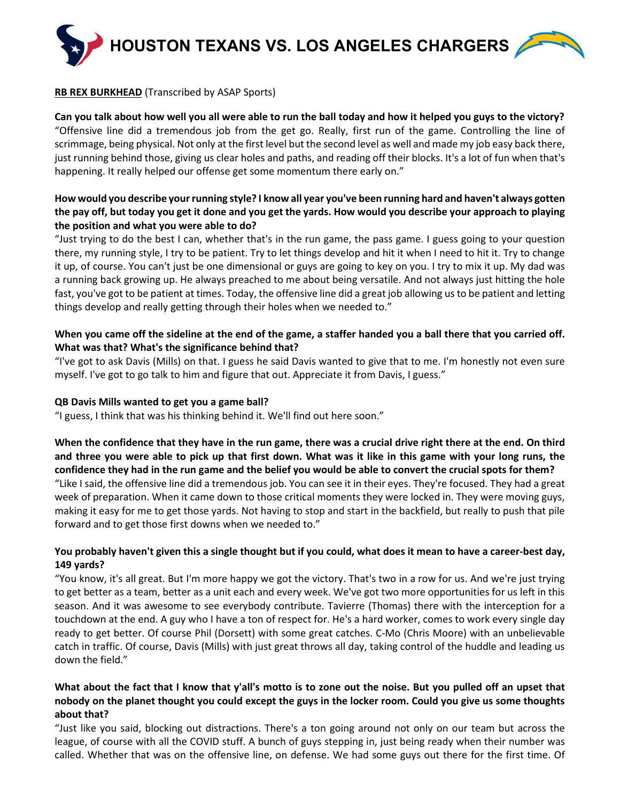

### <span id="page-4-0"></span>**RB REX BURKHEAD** (Transcribed by ASAP Sports)

**Can you talk about how well you all were able to run the ball today and how it helped you guys to the victory?** "Offensive line did a tremendous job from the get go. Really, first run of the game. Controlling the line of scrimmage, being physical. Not only at the first level but the second level as well and made my job easy back there, just running behind those, giving us clear holes and paths, and reading off their blocks. It's a lot of fun when that's happening. It really helped our offense get some momentum there early on."

## **How would you describe your running style? I know all year you've been running hard and haven't always gotten the pay off, but today you get it done and you get the yards. How would you describe your approach to playing the position and what you were able to do?**

"Just trying to do the best I can, whether that's in the run game, the pass game. I guess going to your question there, my running style, I try to be patient. Try to let things develop and hit it when I need to hit it. Try to change it up, of course. You can't just be one dimensional or guys are going to key on you. I try to mix it up. My dad was a running back growing up. He always preached to me about being versatile. And not always just hitting the hole fast, you've got to be patient at times. Today, the offensive line did a great job allowing us to be patient and letting things develop and really getting through their holes when we needed to."

### **When you came off the sideline at the end of the game, a staffer handed you a ball there that you carried off. What was that? What's the significance behind that?**

"I've got to ask Davis (Mills) on that. I guess he said Davis wanted to give that to me. I'm honestly not even sure myself. I've got to go talk to him and figure that out. Appreciate it from Davis, I guess."

### **QB Davis Mills wanted to get you a game ball?**

"I guess, I think that was his thinking behind it. We'll find out here soon."

**When the confidence that they have in the run game, there was a crucial drive right there at the end. On third and three you were able to pick up that first down. What was it like in this game with your long runs, the confidence they had in the run game and the belief you would be able to convert the crucial spots for them?** "Like I said, the offensive line did a tremendous job. You can see it in their eyes. They're focused. They had a great week of preparation. When it came down to those critical moments they were locked in. They were moving guys, making it easy for me to get those yards. Not having to stop and start in the backfield, but really to push that pile forward and to get those first downs when we needed to."

## **You probably haven't given this a single thought but if you could, what does it mean to have a career-best day, 149 yards?**

"You know, it's all great. But I'm more happy we got the victory. That's two in a row for us. And we're just trying to get better as a team, better as a unit each and every week. We've got two more opportunities for us left in this season. And it was awesome to see everybody contribute. Tavierre (Thomas) there with the interception for a touchdown at the end. A guy who I have a ton of respect for. He's a hard worker, comes to work every single day ready to get better. Of course Phil (Dorsett) with some great catches. C-Mo (Chris Moore) with an unbelievable catch in traffic. Of course, Davis (Mills) with just great throws all day, taking control of the huddle and leading us down the field."

## **What about the fact that I know that y'all's motto is to zone out the noise. But you pulled off an upset that nobody on the planet thought you could except the guys in the locker room. Could you give us some thoughts about that?**

"Just like you said, blocking out distractions. There's a ton going around not only on our team but across the league, of course with all the COVID stuff. A bunch of guys stepping in, just being ready when their number was called. Whether that was on the offensive line, on defense. We had some guys out there for the first time. Of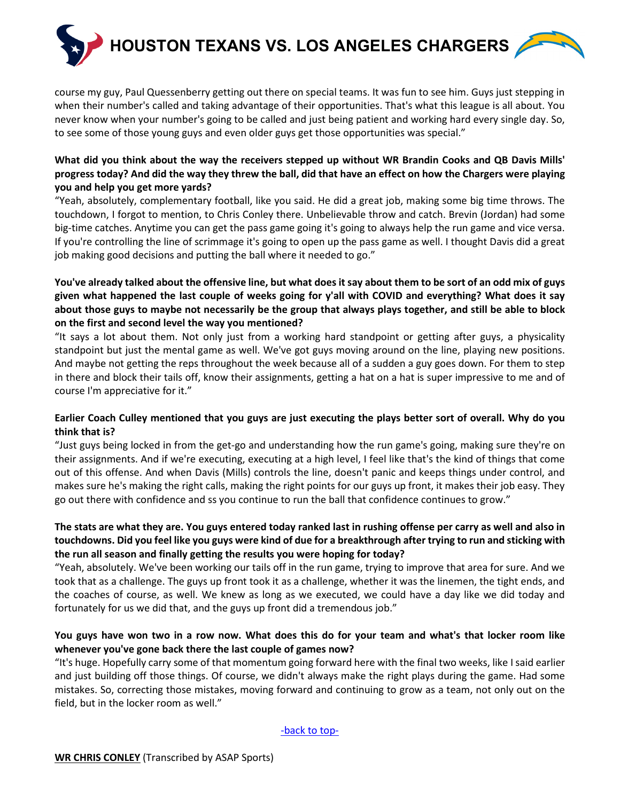

course my guy, Paul Quessenberry getting out there on special teams. It was fun to see him. Guys just stepping in when their number's called and taking advantage of their opportunities. That's what this league is all about. You never know when your number's going to be called and just being patient and working hard every single day. So, to see some of those young guys and even older guys get those opportunities was special."

## **What did you think about the way the receivers stepped up without WR Brandin Cooks and QB Davis Mills' progress today? And did the way they threw the ball, did that have an effect on how the Chargers were playing you and help you get more yards?**

"Yeah, absolutely, complementary football, like you said. He did a great job, making some big time throws. The touchdown, I forgot to mention, to Chris Conley there. Unbelievable throw and catch. Brevin (Jordan) had some big-time catches. Anytime you can get the pass game going it's going to always help the run game and vice versa. If you're controlling the line of scrimmage it's going to open up the pass game as well. I thought Davis did a great job making good decisions and putting the ball where it needed to go."

## **You've already talked about the offensive line, but what does it say about them to be sort of an odd mix of guys given what happened the last couple of weeks going for y'all with COVID and everything? What does it say about those guys to maybe not necessarily be the group that always plays together, and still be able to block on the first and second level the way you mentioned?**

"It says a lot about them. Not only just from a working hard standpoint or getting after guys, a physicality standpoint but just the mental game as well. We've got guys moving around on the line, playing new positions. And maybe not getting the reps throughout the week because all of a sudden a guy goes down. For them to step in there and block their tails off, know their assignments, getting a hat on a hat is super impressive to me and of course I'm appreciative for it."

### **Earlier Coach Culley mentioned that you guys are just executing the plays better sort of overall. Why do you think that is?**

"Just guys being locked in from the get-go and understanding how the run game's going, making sure they're on their assignments. And if we're executing, executing at a high level, I feel like that's the kind of things that come out of this offense. And when Davis (Mills) controls the line, doesn't panic and keeps things under control, and makes sure he's making the right calls, making the right points for our guys up front, it makes their job easy. They go out there with confidence and ss you continue to run the ball that confidence continues to grow."

## **The stats are what they are. You guys entered today ranked last in rushing offense per carry as well and also in touchdowns. Did you feel like you guys were kind of due for a breakthrough after trying to run and sticking with the run all season and finally getting the results you were hoping for today?**

"Yeah, absolutely. We've been working our tails off in the run game, trying to improve that area for sure. And we took that as a challenge. The guys up front took it as a challenge, whether it was the linemen, the tight ends, and the coaches of course, as well. We knew as long as we executed, we could have a day like we did today and fortunately for us we did that, and the guys up front did a tremendous job."

## **You guys have won two in a row now. What does this do for your team and what's that locker room like whenever you've gone back there the last couple of games now?**

<span id="page-5-0"></span>"It's huge. Hopefully carry some of that momentum going forward here with the final two weeks, like I said earlier and just building off those things. Of course, we didn't always make the right plays during the game. Had some mistakes. So, correcting those mistakes, moving forward and continuing to grow as a team, not only out on the field, but in the locker room as well."

[-back to top-](#page-0-1)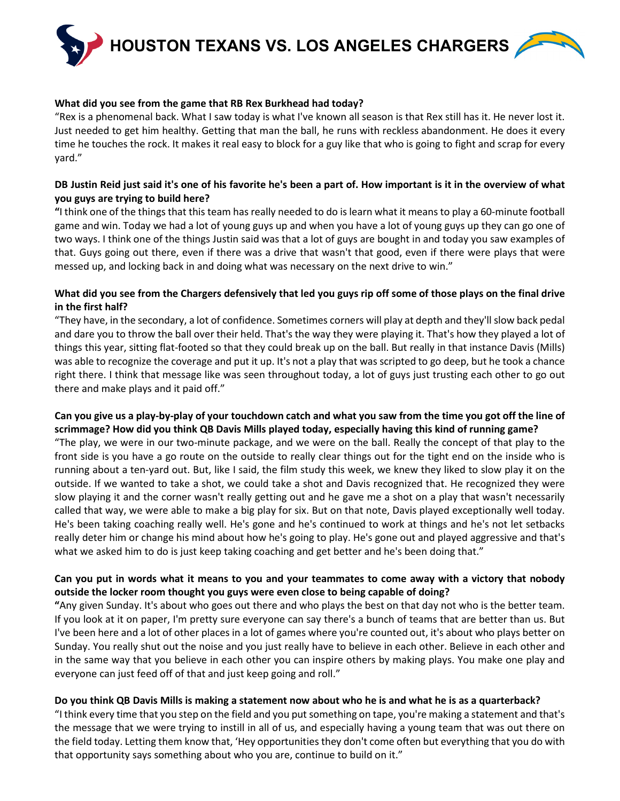**HOUSTON TEXANS VS. LOS ANGELES CHARGERS**



#### **What did you see from the game that RB Rex Burkhead had today?**

"Rex is a phenomenal back. What I saw today is what I've known all season is that Rex still has it. He never lost it. Just needed to get him healthy. Getting that man the ball, he runs with reckless abandonment. He does it every time he touches the rock. It makes it real easy to block for a guy like that who is going to fight and scrap for every yard."

### **DB Justin Reid just said it's one of his favorite he's been a part of. How important is it in the overview of what you guys are trying to build here?**

**"**I think one of the things that this team has really needed to do is learn what it means to play a 60-minute football game and win. Today we had a lot of young guys up and when you have a lot of young guys up they can go one of two ways. I think one of the things Justin said was that a lot of guys are bought in and today you saw examples of that. Guys going out there, even if there was a drive that wasn't that good, even if there were plays that were messed up, and locking back in and doing what was necessary on the next drive to win."

### **What did you see from the Chargers defensively that led you guys rip off some of those plays on the final drive in the first half?**

"They have, in the secondary, a lot of confidence. Sometimes corners will play at depth and they'll slow back pedal and dare you to throw the ball over their held. That's the way they were playing it. That's how they played a lot of things this year, sitting flat-footed so that they could break up on the ball. But really in that instance Davis (Mills) was able to recognize the coverage and put it up. It's not a play that was scripted to go deep, but he took a chance right there. I think that message like was seen throughout today, a lot of guys just trusting each other to go out there and make plays and it paid off."

### **Can you give us a play-by-play of your touchdown catch and what you saw from the time you got off the line of scrimmage? How did you think QB Davis Mills played today, especially having this kind of running game?**

"The play, we were in our two-minute package, and we were on the ball. Really the concept of that play to the front side is you have a go route on the outside to really clear things out for the tight end on the inside who is running about a ten-yard out. But, like I said, the film study this week, we knew they liked to slow play it on the outside. If we wanted to take a shot, we could take a shot and Davis recognized that. He recognized they were slow playing it and the corner wasn't really getting out and he gave me a shot on a play that wasn't necessarily called that way, we were able to make a big play for six. But on that note, Davis played exceptionally well today. He's been taking coaching really well. He's gone and he's continued to work at things and he's not let setbacks really deter him or change his mind about how he's going to play. He's gone out and played aggressive and that's what we asked him to do is just keep taking coaching and get better and he's been doing that."

## **Can you put in words what it means to you and your teammates to come away with a victory that nobody outside the locker room thought you guys were even close to being capable of doing?**

**"**Any given Sunday. It's about who goes out there and who plays the best on that day not who is the better team. If you look at it on paper, I'm pretty sure everyone can say there's a bunch of teams that are better than us. But I've been here and a lot of other places in a lot of games where you're counted out, it's about who plays better on Sunday. You really shut out the noise and you just really have to believe in each other. Believe in each other and in the same way that you believe in each other you can inspire others by making plays. You make one play and everyone can just feed off of that and just keep going and roll."

### **Do you think QB Davis Mills is making a statement now about who he is and what he is as a quarterback?**

"I think every time that you step on the field and you put something on tape, you're making a statement and that's the message that we were trying to instill in all of us, and especially having a young team that was out there on the field today. Letting them know that, 'Hey opportunities they don't come often but everything that you do with that opportunity says something about who you are, continue to build on it."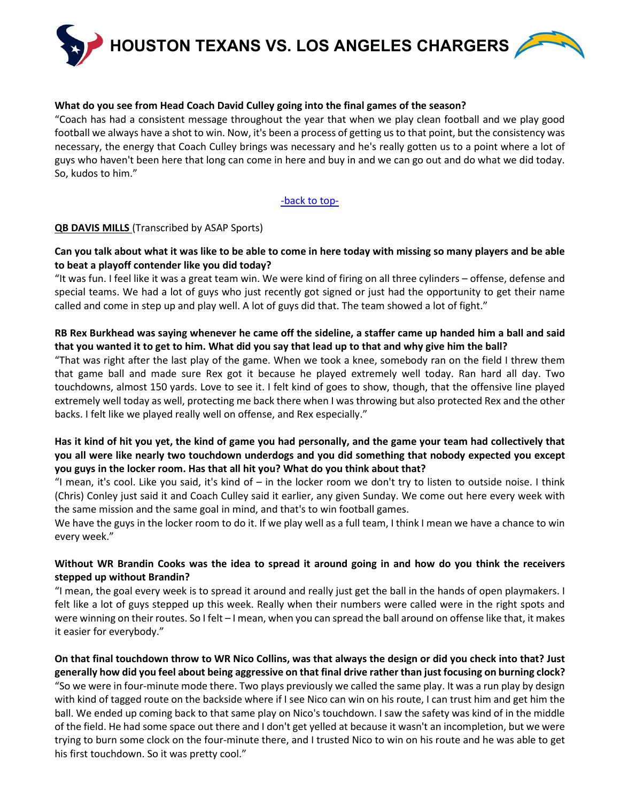

#### **What do you see from Head Coach David Culley going into the final games of the season?**

"Coach has had a consistent message throughout the year that when we play clean football and we play good football we always have a shot to win. Now, it's been a process of getting us to that point, but the consistency was necessary, the energy that Coach Culley brings was necessary and he's really gotten us to a point where a lot of guys who haven't been here that long can come in here and buy in and we can go out and do what we did today. So, kudos to him."

#### [-back to top-](#page-0-1)

#### <span id="page-7-0"></span>**QB DAVIS MILLS** (Transcribed by ASAP Sports)

### **Can you talk about what it was like to be able to come in here today with missing so many players and be able to beat a playoff contender like you did today?**

"It was fun. I feel like it was a great team win. We were kind of firing on all three cylinders – offense, defense and special teams. We had a lot of guys who just recently got signed or just had the opportunity to get their name called and come in step up and play well. A lot of guys did that. The team showed a lot of fight."

### **RB Rex Burkhead was saying whenever he came off the sideline, a staffer came up handed him a ball and said that you wanted it to get to him. What did you say that lead up to that and why give him the ball?**

"That was right after the last play of the game. When we took a knee, somebody ran on the field I threw them that game ball and made sure Rex got it because he played extremely well today. Ran hard all day. Two touchdowns, almost 150 yards. Love to see it. I felt kind of goes to show, though, that the offensive line played extremely well today as well, protecting me back there when I was throwing but also protected Rex and the other backs. I felt like we played really well on offense, and Rex especially."

### **Has it kind of hit you yet, the kind of game you had personally, and the game your team had collectively that you all were like nearly two touchdown underdogs and you did something that nobody expected you except you guys in the locker room. Has that all hit you? What do you think about that?**

"I mean, it's cool. Like you said, it's kind of  $-$  in the locker room we don't try to listen to outside noise. I think (Chris) Conley just said it and Coach Culley said it earlier, any given Sunday. We come out here every week with the same mission and the same goal in mind, and that's to win football games.

We have the guys in the locker room to do it. If we play well as a full team, I think I mean we have a chance to win every week."

### **Without WR Brandin Cooks was the idea to spread it around going in and how do you think the receivers stepped up without Brandin?**

"I mean, the goal every week is to spread it around and really just get the ball in the hands of open playmakers. I felt like a lot of guys stepped up this week. Really when their numbers were called were in the right spots and were winning on their routes. So I felt – I mean, when you can spread the ball around on offense like that, it makes it easier for everybody."

**On that final touchdown throw to WR Nico Collins, was that always the design or did you check into that? Just generally how did you feel about being aggressive on that final drive rather than just focusing on burning clock?** "So we were in four-minute mode there. Two plays previously we called the same play. It was a run play by design with kind of tagged route on the backside where if I see Nico can win on his route, I can trust him and get him the ball. We ended up coming back to that same play on Nico's touchdown. I saw the safety was kind of in the middle of the field. He had some space out there and I don't get yelled at because it wasn't an incompletion, but we were trying to burn some clock on the four-minute there, and I trusted Nico to win on his route and he was able to get his first touchdown. So it was pretty cool."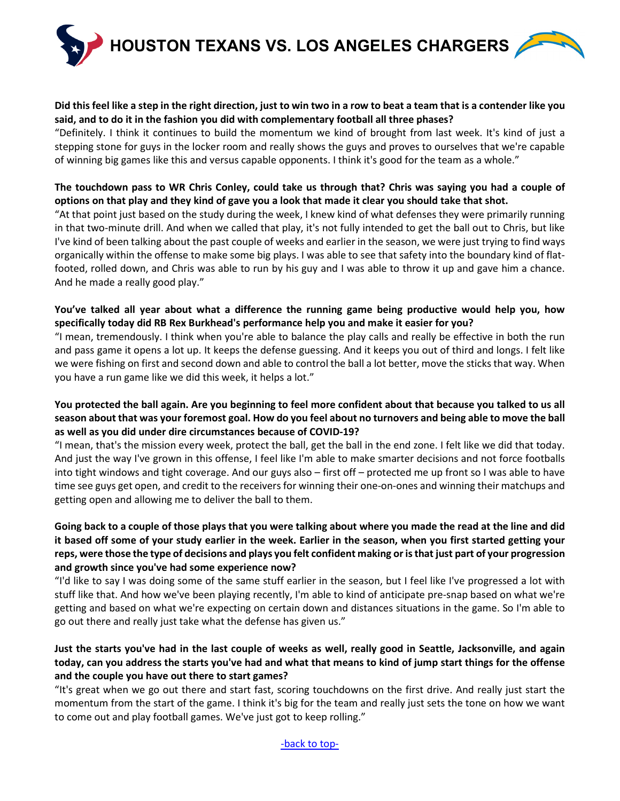**HOUSTON TEXANS VS. LOS ANGELES CHARGERS**

### **Did this feel like a step in the right direction, just to win two in a row to beat a team that is a contender like you said, and to do it in the fashion you did with complementary football all three phases?**

"Definitely. I think it continues to build the momentum we kind of brought from last week. It's kind of just a stepping stone for guys in the locker room and really shows the guys and proves to ourselves that we're capable of winning big games like this and versus capable opponents. I think it's good for the team as a whole."

### **The touchdown pass to WR Chris Conley, could take us through that? Chris was saying you had a couple of options on that play and they kind of gave you a look that made it clear you should take that shot.**

"At that point just based on the study during the week, I knew kind of what defenses they were primarily running in that two-minute drill. And when we called that play, it's not fully intended to get the ball out to Chris, but like I've kind of been talking about the past couple of weeks and earlier in the season, we were just trying to find ways organically within the offense to make some big plays. I was able to see that safety into the boundary kind of flatfooted, rolled down, and Chris was able to run by his guy and I was able to throw it up and gave him a chance. And he made a really good play."

### **You've talked all year about what a difference the running game being productive would help you, how specifically today did RB Rex Burkhead's performance help you and make it easier for you?**

"I mean, tremendously. I think when you're able to balance the play calls and really be effective in both the run and pass game it opens a lot up. It keeps the defense guessing. And it keeps you out of third and longs. I felt like we were fishing on first and second down and able to control the ball a lot better, move the sticks that way. When you have a run game like we did this week, it helps a lot."

### **You protected the ball again. Are you beginning to feel more confident about that because you talked to us all season about that was your foremost goal. How do you feel about no turnovers and being able to move the ball as well as you did under dire circumstances because of COVID-19?**

"I mean, that's the mission every week, protect the ball, get the ball in the end zone. I felt like we did that today. And just the way I've grown in this offense, I feel like I'm able to make smarter decisions and not force footballs into tight windows and tight coverage. And our guys also – first off – protected me up front so I was able to have time see guys get open, and credit to the receivers for winning their one-on-ones and winning their matchups and getting open and allowing me to deliver the ball to them.

## **Going back to a couple of those plays that you were talking about where you made the read at the line and did it based off some of your study earlier in the week. Earlier in the season, when you first started getting your reps, were those the type of decisions and plays you felt confident making or is that just part of your progression and growth since you've had some experience now?**

"I'd like to say I was doing some of the same stuff earlier in the season, but I feel like I've progressed a lot with stuff like that. And how we've been playing recently, I'm able to kind of anticipate pre-snap based on what we're getting and based on what we're expecting on certain down and distances situations in the game. So I'm able to go out there and really just take what the defense has given us."

## **Just the starts you've had in the last couple of weeks as well, really good in Seattle, Jacksonville, and again today, can you address the starts you've had and what that means to kind of jump start things for the offense and the couple you have out there to start games?**

"It's great when we go out there and start fast, scoring touchdowns on the first drive. And really just start the momentum from the start of the game. I think it's big for the team and really just sets the tone on how we want to come out and play football games. We've just got to keep rolling."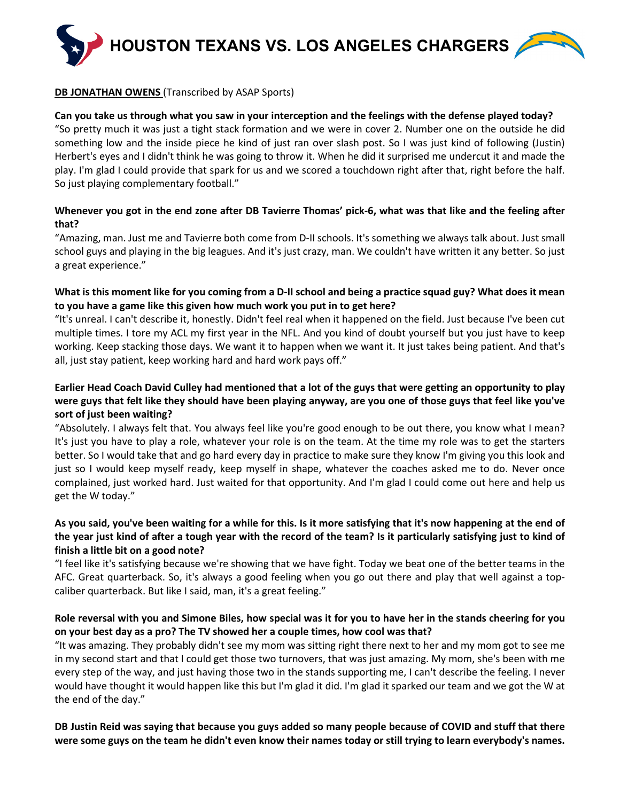

### **DB JONATHAN OWENS** (Transcribed by ASAP Sports)

#### **Can you take us through what you saw in your interception and the feelings with the defense played today?**

"So pretty much it was just a tight stack formation and we were in cover 2. Number one on the outside he did something low and the inside piece he kind of just ran over slash post. So I was just kind of following (Justin) Herbert's eyes and I didn't think he was going to throw it. When he did it surprised me undercut it and made the play. I'm glad I could provide that spark for us and we scored a touchdown right after that, right before the half. So just playing complementary football."

### **Whenever you got in the end zone after DB Tavierre Thomas' pick-6, what was that like and the feeling after that?**

"Amazing, man. Just me and Tavierre both come from D-II schools. It's something we always talk about. Just small school guys and playing in the big leagues. And it's just crazy, man. We couldn't have written it any better. So just a great experience."

### **What is this moment like for you coming from a D-II school and being a practice squad guy? What does it mean to you have a game like this given how much work you put in to get here?**

"It's unreal. I can't describe it, honestly. Didn't feel real when it happened on the field. Just because I've been cut multiple times. I tore my ACL my first year in the NFL. And you kind of doubt yourself but you just have to keep working. Keep stacking those days. We want it to happen when we want it. It just takes being patient. And that's all, just stay patient, keep working hard and hard work pays off."

## **Earlier Head Coach David Culley had mentioned that a lot of the guys that were getting an opportunity to play were guys that felt like they should have been playing anyway, are you one of those guys that feel like you've sort of just been waiting?**

"Absolutely. I always felt that. You always feel like you're good enough to be out there, you know what I mean? It's just you have to play a role, whatever your role is on the team. At the time my role was to get the starters better. So I would take that and go hard every day in practice to make sure they know I'm giving you this look and just so I would keep myself ready, keep myself in shape, whatever the coaches asked me to do. Never once complained, just worked hard. Just waited for that opportunity. And I'm glad I could come out here and help us get the W today."

## **As you said, you've been waiting for a while for this. Is it more satisfying that it's now happening at the end of the year just kind of after a tough year with the record of the team? Is it particularly satisfying just to kind of finish a little bit on a good note?**

"I feel like it's satisfying because we're showing that we have fight. Today we beat one of the better teams in the AFC. Great quarterback. So, it's always a good feeling when you go out there and play that well against a topcaliber quarterback. But like I said, man, it's a great feeling."

### **Role reversal with you and Simone Biles, how special was it for you to have her in the stands cheering for you on your best day as a pro? The TV showed her a couple times, how cool was that?**

"It was amazing. They probably didn't see my mom was sitting right there next to her and my mom got to see me in my second start and that I could get those two turnovers, that was just amazing. My mom, she's been with me every step of the way, and just having those two in the stands supporting me, I can't describe the feeling. I never would have thought it would happen like this but I'm glad it did. I'm glad it sparked our team and we got the W at the end of the day."

**DB Justin Reid was saying that because you guys added so many people because of COVID and stuff that there were some guys on the team he didn't even know their names today or still trying to learn everybody's names.**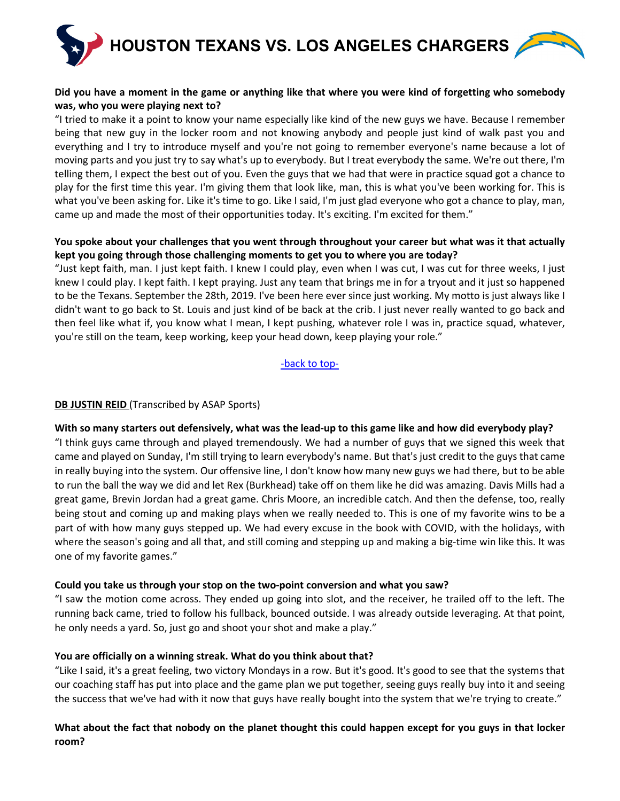

### **Did you have a moment in the game or anything like that where you were kind of forgetting who somebody was, who you were playing next to?**

"I tried to make it a point to know your name especially like kind of the new guys we have. Because I remember being that new guy in the locker room and not knowing anybody and people just kind of walk past you and everything and I try to introduce myself and you're not going to remember everyone's name because a lot of moving parts and you just try to say what's up to everybody. But I treat everybody the same. We're out there, I'm telling them, I expect the best out of you. Even the guys that we had that were in practice squad got a chance to play for the first time this year. I'm giving them that look like, man, this is what you've been working for. This is what you've been asking for. Like it's time to go. Like I said, I'm just glad everyone who got a chance to play, man, came up and made the most of their opportunities today. It's exciting. I'm excited for them."

### **You spoke about your challenges that you went through throughout your career but what was it that actually kept you going through those challenging moments to get you to where you are today?**

"Just kept faith, man. I just kept faith. I knew I could play, even when I was cut, I was cut for three weeks, I just knew I could play. I kept faith. I kept praying. Just any team that brings me in for a tryout and it just so happened to be the Texans. September the 28th, 2019. I've been here ever since just working. My motto is just always like I didn't want to go back to St. Louis and just kind of be back at the crib. I just never really wanted to go back and then feel like what if, you know what I mean, I kept pushing, whatever role I was in, practice squad, whatever, you're still on the team, keep working, keep your head down, keep playing your role."

[-back to top-](#page-0-1)

### **DB JUSTIN REID** (Transcribed by ASAP Sports)

### **With so many starters out defensively, what was the lead-up to this game like and how did everybody play?**

"I think guys came through and played tremendously. We had a number of guys that we signed this week that came and played on Sunday, I'm still trying to learn everybody's name. But that's just credit to the guys that came in really buying into the system. Our offensive line, I don't know how many new guys we had there, but to be able to run the ball the way we did and let Rex (Burkhead) take off on them like he did was amazing. Davis Mills had a great game, Brevin Jordan had a great game. Chris Moore, an incredible catch. And then the defense, too, really being stout and coming up and making plays when we really needed to. This is one of my favorite wins to be a part of with how many guys stepped up. We had every excuse in the book with COVID, with the holidays, with where the season's going and all that, and still coming and stepping up and making a big-time win like this. It was one of my favorite games."

### **Could you take us through your stop on the two-point conversion and what you saw?**

"I saw the motion come across. They ended up going into slot, and the receiver, he trailed off to the left. The running back came, tried to follow his fullback, bounced outside. I was already outside leveraging. At that point, he only needs a yard. So, just go and shoot your shot and make a play."

### **You are officially on a winning streak. What do you think about that?**

"Like I said, it's a great feeling, two victory Mondays in a row. But it's good. It's good to see that the systems that our coaching staff has put into place and the game plan we put together, seeing guys really buy into it and seeing the success that we've had with it now that guys have really bought into the system that we're trying to create."

### **What about the fact that nobody on the planet thought this could happen except for you guys in that locker room?**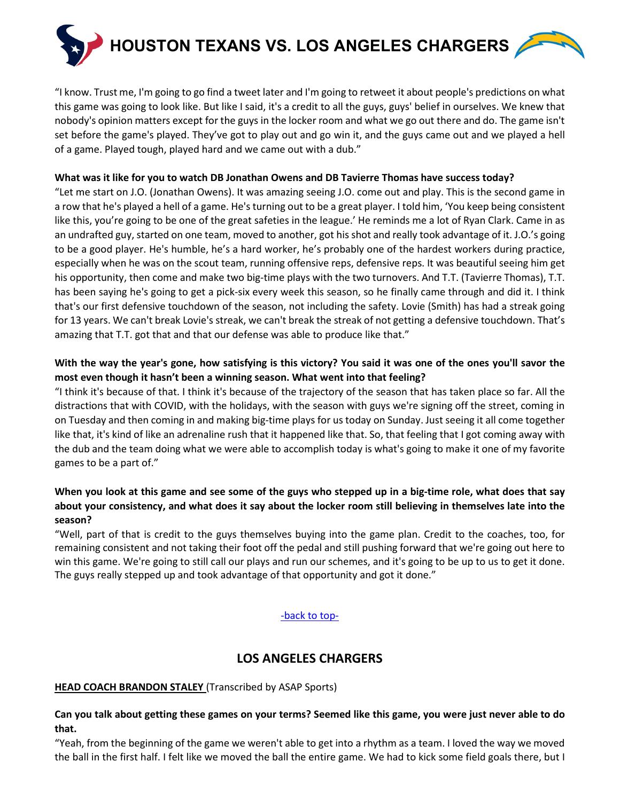

"I know. Trust me, I'm going to go find a tweet later and I'm going to retweet it about people's predictions on what this game was going to look like. But like I said, it's a credit to all the guys, guys' belief in ourselves. We knew that nobody's opinion matters except for the guys in the locker room and what we go out there and do. The game isn't set before the game's played. They've got to play out and go win it, and the guys came out and we played a hell of a game. Played tough, played hard and we came out with a dub."

### **What was it like for you to watch DB Jonathan Owens and DB Tavierre Thomas have success today?**

"Let me start on J.O. (Jonathan Owens). It was amazing seeing J.O. come out and play. This is the second game in a row that he's played a hell of a game. He's turning out to be a great player. I told him, 'You keep being consistent like this, you're going to be one of the great safeties in the league.' He reminds me a lot of Ryan Clark. Came in as an undrafted guy, started on one team, moved to another, got his shot and really took advantage of it. J.O.'s going to be a good player. He's humble, he's a hard worker, he's probably one of the hardest workers during practice, especially when he was on the scout team, running offensive reps, defensive reps. It was beautiful seeing him get his opportunity, then come and make two big-time plays with the two turnovers. And T.T. (Tavierre Thomas), T.T. has been saying he's going to get a pick-six every week this season, so he finally came through and did it. I think that's our first defensive touchdown of the season, not including the safety. Lovie (Smith) has had a streak going for 13 years. We can't break Lovie's streak, we can't break the streak of not getting a defensive touchdown. That's amazing that T.T. got that and that our defense was able to produce like that."

## **With the way the year's gone, how satisfying is this victory? You said it was one of the ones you'll savor the most even though it hasn't been a winning season. What went into that feeling?**

"I think it's because of that. I think it's because of the trajectory of the season that has taken place so far. All the distractions that with COVID, with the holidays, with the season with guys we're signing off the street, coming in on Tuesday and then coming in and making big-time plays for us today on Sunday. Just seeing it all come together like that, it's kind of like an adrenaline rush that it happened like that. So, that feeling that I got coming away with the dub and the team doing what we were able to accomplish today is what's going to make it one of my favorite games to be a part of."

## **When you look at this game and see some of the guys who stepped up in a big-time role, what does that say about your consistency, and what does it say about the locker room still believing in themselves late into the season?**

"Well, part of that is credit to the guys themselves buying into the game plan. Credit to the coaches, too, for remaining consistent and not taking their foot off the pedal and still pushing forward that we're going out here to win this game. We're going to still call our plays and run our schemes, and it's going to be up to us to get it done. The guys really stepped up and took advantage of that opportunity and got it done."

## [-back to top-](#page-0-1)

# **LOS ANGELES CHARGERS**

### <span id="page-11-1"></span><span id="page-11-0"></span>**HEAD COACH BRANDON STALEY** (Transcribed by ASAP Sports)

### **Can you talk about getting these games on your terms? Seemed like this game, you were just never able to do that.**

"Yeah, from the beginning of the game we weren't able to get into a rhythm as a team. I loved the way we moved the ball in the first half. I felt like we moved the ball the entire game. We had to kick some field goals there, but I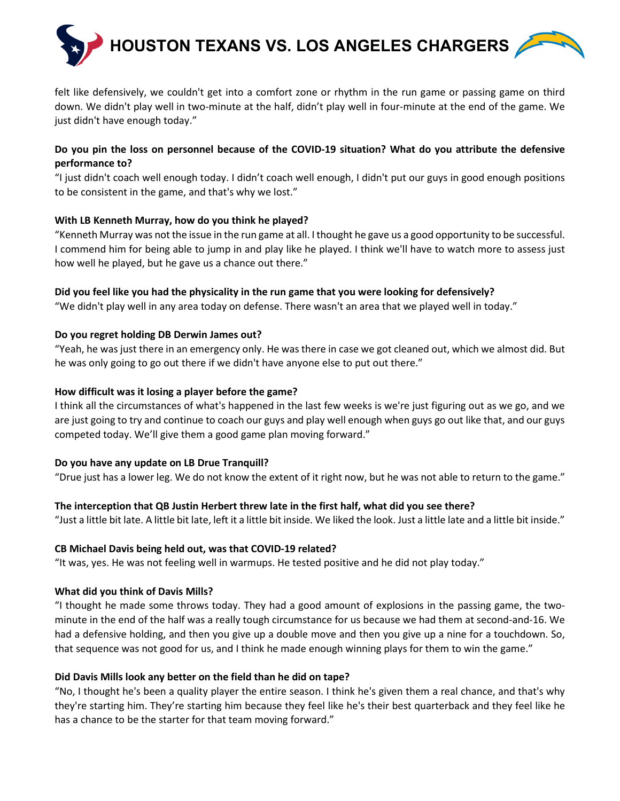

felt like defensively, we couldn't get into a comfort zone or rhythm in the run game or passing game on third down. We didn't play well in two-minute at the half, didn't play well in four-minute at the end of the game. We just didn't have enough today."

## **Do you pin the loss on personnel because of the COVID-19 situation? What do you attribute the defensive performance to?**

"I just didn't coach well enough today. I didn't coach well enough, I didn't put our guys in good enough positions to be consistent in the game, and that's why we lost."

### **With LB Kenneth Murray, how do you think he played?**

"Kenneth Murray was not the issue in the run game at all. I thought he gave us a good opportunity to be successful. I commend him for being able to jump in and play like he played. I think we'll have to watch more to assess just how well he played, but he gave us a chance out there."

### **Did you feel like you had the physicality in the run game that you were looking for defensively?**

"We didn't play well in any area today on defense. There wasn't an area that we played well in today."

### **Do you regret holding DB Derwin James out?**

"Yeah, he was just there in an emergency only. He was there in case we got cleaned out, which we almost did. But he was only going to go out there if we didn't have anyone else to put out there."

### **How difficult was it losing a player before the game?**

I think all the circumstances of what's happened in the last few weeks is we're just figuring out as we go, and we are just going to try and continue to coach our guys and play well enough when guys go out like that, and our guys competed today. We'll give them a good game plan moving forward."

## **Do you have any update on LB Drue Tranquill?**

"Drue just has a lower leg. We do not know the extent of it right now, but he was not able to return to the game."

## **The interception that QB Justin Herbert threw late in the first half, what did you see there?**

"Just a little bit late. A little bit late, left it a little bit inside. We liked the look. Just a little late and a little bit inside."

### **CB Michael Davis being held out, was that COVID-19 related?**

"It was, yes. He was not feeling well in warmups. He tested positive and he did not play today."

## **What did you think of Davis Mills?**

"I thought he made some throws today. They had a good amount of explosions in the passing game, the twominute in the end of the half was a really tough circumstance for us because we had them at second-and-16. We had a defensive holding, and then you give up a double move and then you give up a nine for a touchdown. So, that sequence was not good for us, and I think he made enough winning plays for them to win the game."

### **Did Davis Mills look any better on the field than he did on tape?**

"No, I thought he's been a quality player the entire season. I think he's given them a real chance, and that's why they're starting him. They're starting him because they feel like he's their best quarterback and they feel like he has a chance to be the starter for that team moving forward."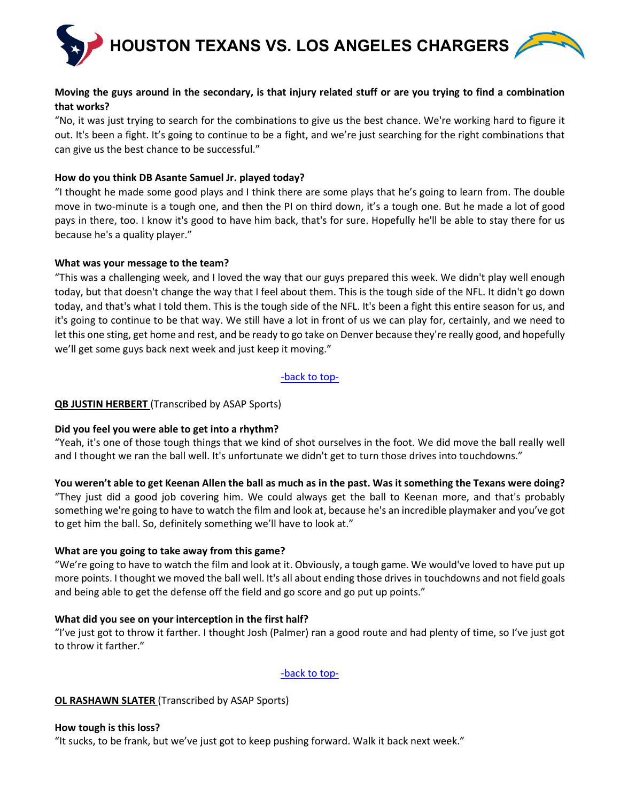

### **Moving the guys around in the secondary, is that injury related stuff or are you trying to find a combination that works?**

"No, it was just trying to search for the combinations to give us the best chance. We're working hard to figure it out. It's been a fight. It's going to continue to be a fight, and we're just searching for the right combinations that can give us the best chance to be successful."

### **How do you think DB Asante Samuel Jr. played today?**

"I thought he made some good plays and I think there are some plays that he's going to learn from. The double move in two-minute is a tough one, and then the PI on third down, it's a tough one. But he made a lot of good pays in there, too. I know it's good to have him back, that's for sure. Hopefully he'll be able to stay there for us because he's a quality player."

### **What was your message to the team?**

"This was a challenging week, and I loved the way that our guys prepared this week. We didn't play well enough today, but that doesn't change the way that I feel about them. This is the tough side of the NFL. It didn't go down today, and that's what I told them. This is the tough side of the NFL. It's been a fight this entire season for us, and it's going to continue to be that way. We still have a lot in front of us we can play for, certainly, and we need to let this one sting, get home and rest, and be ready to go take on Denver because they're really good, and hopefully we'll get some guys back next week and just keep it moving."

[-back to top-](#page-0-1)

### <span id="page-13-0"></span>**QB JUSTIN HERBERT** (Transcribed by ASAP Sports)

### **Did you feel you were able to get into a rhythm?**

"Yeah, it's one of those tough things that we kind of shot ourselves in the foot. We did move the ball really well and I thought we ran the ball well. It's unfortunate we didn't get to turn those drives into touchdowns."

**You weren't able to get Keenan Allen the ball as much as in the past. Was it something the Texans were doing?** "They just did a good job covering him. We could always get the ball to Keenan more, and that's probably something we're going to have to watch the film and look at, because he's an incredible playmaker and you've got to get him the ball. So, definitely something we'll have to look at."

### **What are you going to take away from this game?**

"We're going to have to watch the film and look at it. Obviously, a tough game. We would've loved to have put up more points. I thought we moved the ball well. It's all about ending those drives in touchdowns and not field goals and being able to get the defense off the field and go score and go put up points."

### **What did you see on your interception in the first half?**

"I've just got to throw it farther. I thought Josh (Palmer) ran a good route and had plenty of time, so I've just got to throw it farther."

### [-back to top-](#page-0-1)

### <span id="page-13-1"></span>**OL RASHAWN SLATER** (Transcribed by ASAP Sports)

### **How tough is this loss?**

"It sucks, to be frank, but we've just got to keep pushing forward. Walk it back next week."